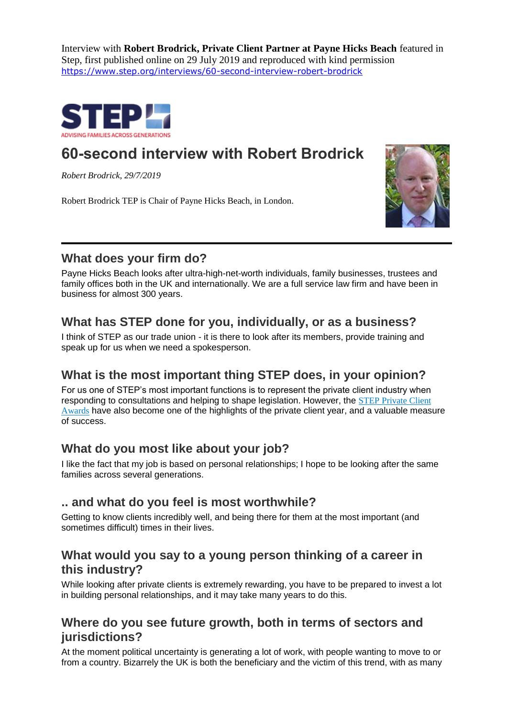Interview with **Robert Brodrick, Private Client Partner at Payne Hicks Beach** featured in Step, first published online on 29 July 2019 and reproduced with kind permission <https://www.step.org/interviews/60-second-interview-robert-brodrick>



# **60-second interview with Robert Brodrick**

*Robert Brodrick, 29/7/2019*

Robert Brodrick TEP is Chair of Payne Hicks Beach, in London.



# **What does your firm do?**

Payne Hicks Beach looks after ultra-high-net-worth individuals, family businesses, trustees and family offices both in the UK and internationally. We are a full service law firm and have been in business for almost 300 years.

# **What has STEP done for you, individually, or as a business?**

I think of STEP as our trade union - it is there to look after its members, provide training and speak up for us when we need a spokesperson.

## **What is the most important thing STEP does, in your opinion?**

For us one of STEP's most important functions is to represent the private client industry when responding to consultations and helping to shape legislation. However, the STEP [Private](http://www.steppca.org/) Client [Awards](http://www.steppca.org/) have also become one of the highlights of the private client year, and a valuable measure of success.

## **What do you most like about your job?**

I like the fact that my job is based on personal relationships; I hope to be looking after the same families across several generations.

#### **.. and what do you feel is most worthwhile?**

Getting to know clients incredibly well, and being there for them at the most important (and sometimes difficult) times in their lives.

# **What would you say to a young person thinking of a career in this industry?**

While looking after private clients is extremely rewarding, you have to be prepared to invest a lot in building personal relationships, and it may take many years to do this.

## **Where do you see future growth, both in terms of sectors and jurisdictions?**

At the moment political uncertainty is generating a lot of work, with people wanting to move to or from a country. Bizarrely the UK is both the beneficiary and the victim of this trend, with as many